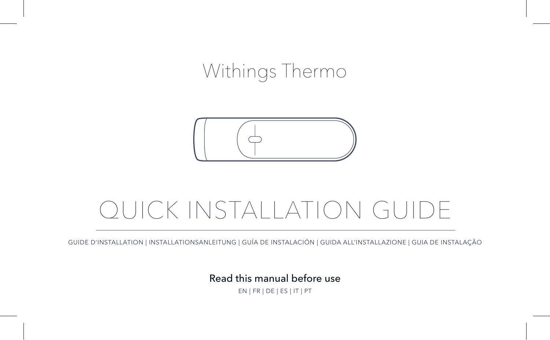# Withings Thermo



# QUICK INSTALLATION GUIDE

GUIDE D'INSTALLATION | INSTALLATIONSANLEITUNG | GUÍA DE INSTALACIÓN | GUIDA ALL'INSTALLAZIONE | GUIA DE INSTALAÇÃO

Read this manual before use

EN | FR | DE | ES | IT | PT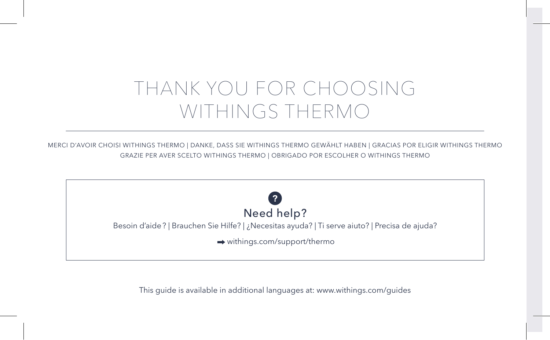# THANK YOU FOR CHOOSING WITHINGS THERMO

MERCI D'AVOIR CHOISI WITHINGS THERMO | DANKE, DASS SIE WITHINGS THERMO GEWÄHLT HABEN | GRACIAS POR ELIGIR WITHINGS THERMO GRAZIE PER AVER SCELTO WITHINGS THERMO | OBRIGADO POR ESCOLHER O WITHINGS THERMO



This guide is available in additional languages at: www.withings.com/guides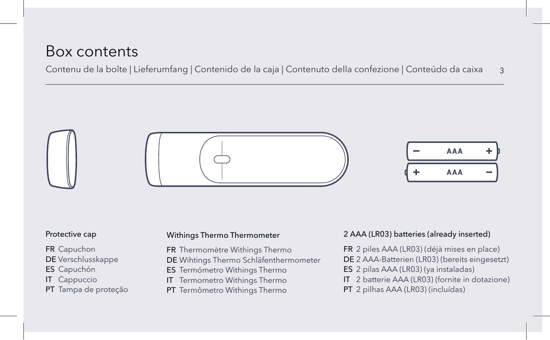## Box contents

Contenu de la boîte | Lieferumfang | Contenido de la caja | Contenuto della confezione | Conteúdo da caixa 3



#### Protective cap

FR Capuchon DE Verschlusskappe ES Capuchón

IT Cappuccio

PT Tampa de proteção

#### Withings Thermo Thermometer

FR Thermomètre Withings Thermo

DE Wihtings Thermo Schläfenthermometer

ES Termómetro Withings Thermo

- IT Termometro Withings Thermo
- PT Termômetro Withings Thermo

#### 2 AAA (LR03) batteries (already inserted)

FR 2 piles AAA (LR03) (déjà mises en place)

DE 2 AAA-Batterien (LR03) (bereits eingesetzt)

- ES 2 pilas AAA (LR03) (ya instaladas)
- IT 2 batterie AAA (LR03) (fornite in dotazione)
- PT 2 pilhas AAA (LR03) (incluídas)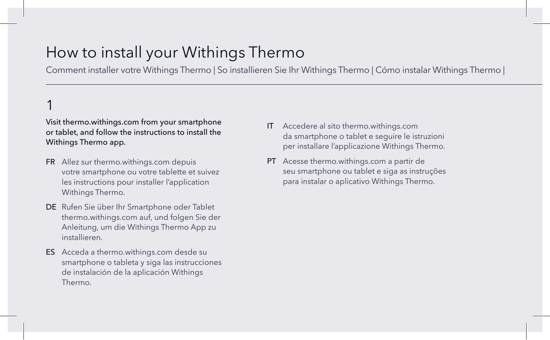## How to install your Withings Thermo

Comment installer votre Withings Thermo | So installieren Sie Ihr Withings Thermo | Cómo instalar Withings Thermo |

## 1

#### Visit thermo.withings.com from your smartphone or tablet, and follow the instructions to install the Withings Thermo app.

- FR Allez sur thermo.withings.com depuis votre smartphone ou votre tablette et suivez les instructions pour installer l'application Withings Thermo.
- DE Rufen Sie über Ihr Smartphone oder Tablet thermo.withings.com auf, und folgen Sie der Anleitung, um die Withings Thermo App zu installieren.
- ES Acceda a thermo.withings.com desde su smartphone o tableta y siga las instrucciones de instalación de la aplicación Withings Thermo.
- IT Accedere al sito thermo.withings.com da smartphone o tablet e seguire le istruzioni per installare l'applicazione Withings Thermo.
- PT Acesse thermo.withings.com a partir de seu smartphone ou tablet e siga as instruções para instalar o aplicativo Withings Thermo.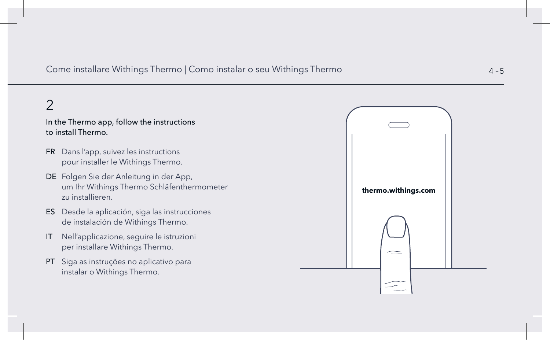Come installare Withings Thermo | Como instalar o seu Withings Thermo | Cómo installare Withings Thermo | Cómo instalar o seu Withings Thermo | Como installare Withings Thermo | Como instalar o seu Withings Thermo | Como i

## 2

#### In the Thermo app, follow the instructions to install Thermo.

- FR Dans l'app, suivez les instructions pour installer le Withings Thermo.
- DE Folgen Sie der Anleitung in der App, um Ihr Withings Thermo Schläfenthermometer zu installieren.
- ES Desde la aplicación, siga las instrucciones de instalación de Withings Thermo.
- IT Nell'applicazione, seguire le istruzioni per installare Withings Thermo.
- PT Siga as instruções no aplicativo para instalar o Withings Thermo.

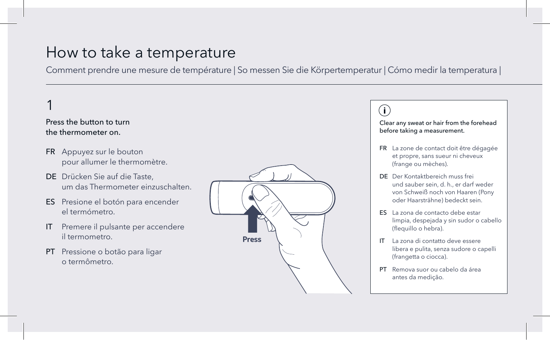## How to take a temperature

Comment prendre une mesure de température | So messen Sie die Körpertemperatur | Cómo medir la temperatura |

## 1

#### Press the button to turn the thermometer on.

- FR Appuyez sur le bouton pour allumer le thermomètre.
- DE Drücken Sie auf die Taste, um das Thermometer einzuschalten.
- ES Presione el botón para encender el termómetro.
- IT Premere il pulsante per accendere il termometro.
- PT Pressione o botão para ligar o termômetro.



### $(i)$

Clear any sweat or hair from the forehead before taking a measurement.

- FR La zone de contact doit être dégagée et propre, sans sueur ni cheveux (frange ou mèches).
- DE Der Kontaktbereich muss frei und sauber sein, d. h., er darf weder von Schweiß noch von Haaren (Pony oder Haarsträhne) bedeckt sein.
- ES La zona de contacto debe estar limpia, despejada y sin sudor o cabello (flequillo o hebra).
- IT La zona di contatto deve essere libera e pulita, senza sudore o capelli (frangetta o ciocca).
- PT Remova suor ou cabelo da área antes da medição.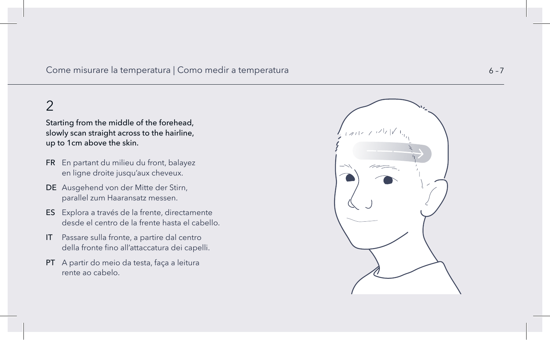#### Come misurare la temperatura | Como medir a temperatura

## 2

Starting from the middle of the forehead, slowly scan straight across to the hairline, up to 1cm above the skin.

- FR En partant du milieu du front, balayez en ligne droite jusqu'aux cheveux.
- DE Ausgehend von der Mitte der Stirn, parallel zum Haaransatz messen.
- ES Explora a través de la frente, directamente desde el centro de la frente hasta el cabello.
- IT Passare sulla fronte, a partire dal centro della fronte fino all'attaccatura dei capelli.
- PT A partir do meio da testa, faça a leitura rente ao cabelo.

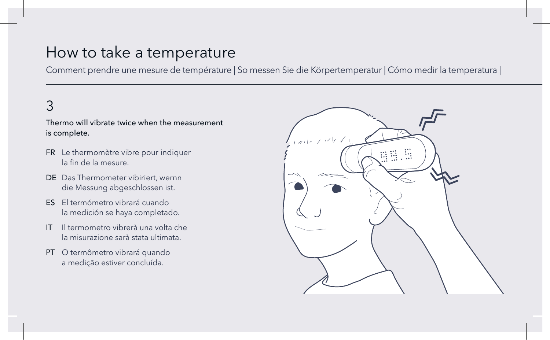## How to take a temperature

Comment prendre une mesure de température | So messen Sie die Körpertemperatur | Cómo medir la temperatura |

## 3

### Thermo will vibrate twice when the measurement is complete.

- FR Le thermomètre vibre pour indiquer la fin de la mesure.
- DE Das Thermometer vibiriert, wernn die Messung abgeschlossen ist.
- ES El termómetro vibrará cuando la medición se haya completado.
- IT Il termometro vibrerà una volta che la misurazione sarà stata ultimata.
- PT O termômetro vibrará quando a medição estiver concluída.

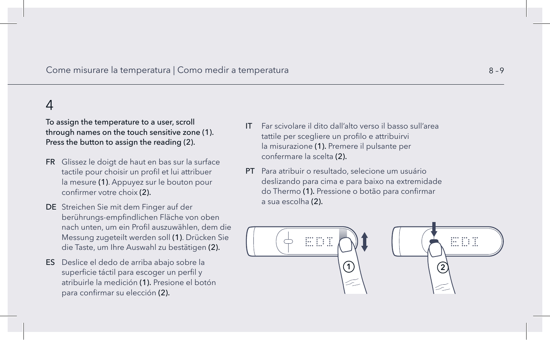#### Come misurare la temperatura | Como medir a temperatura | Sono medir la températura | Sono medir a temperatura  $8-9$

### 4

To assign the temperature to a user, scroll through names on the touch sensitive zone (1). Press the button to assign the reading (2).

- FR Glissez le doigt de haut en bas sur la surface tactile pour choisir un profil et lui attribuer la mesure (1). Appuyez sur le bouton pour confirmer votre choix (2).
- DE Streichen Sie mit dem Finger auf der berührungs-empfindlichen Fläche von oben nach unten, um ein Profil auszuwählen, dem die Messung zugeteilt werden soll (1). Drücken Sie die Taste, um Ihre Auswahl zu bestätigen (2).
- ES Deslice el dedo de arriba abajo sobre la superficie táctil para escoger un perfil y atribuirle la medición (1). Presione el botón para confirmar su elección (2).
- IT Far scivolare il dito dall'alto verso il basso sull'area tattile per scegliere un profilo e attribuirvi la misurazione (1). Premere il pulsante per confermare la scelta (2).
- PT Para atribuir o resultado, selecione um usuário deslizando para cima e para baixo na extremidade do Thermo (1). Pressione o botão para confirmar a sua escolha (2).



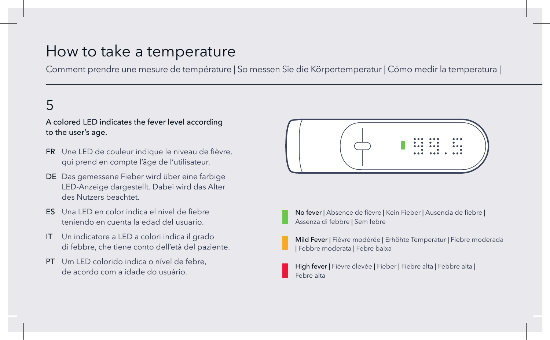## How to take a temperature

Comment prendre une mesure de température | So messen Sie die Körpertemperatur | Cómo medir la temperatura |

## 5

### A colored LED indicates the fever level according to the user's age.

- FR Une LED de couleur indique le niveau de fièvre, qui prend en compte l'âge de l'utilisateur.
- DE Das gemessene Fieber wird über eine farbige LED-Anzeige dargestellt. Dabei wird das Alter des Nutzers beachtet.
- ES Una LED en color indica el nivel de fiebre teniendo en cuenta la edad del usuario.
- IT Un indicatore a LED a colori indica il grado di febbre, che tiene conto dell'età del paziente.
- PT Um LED colorido indica o nível de febre, de acordo com a idade do usuário.



No fever | Absence de fièvre | Kein Fieber | Ausencia de fiebre | Assenza di febbre | Sem febre

Mild Fever | Fièvre modérée | Erhöhte Temperatur | Fiebre moderada | Febbre moderata | Febre baixa

High fever | Fièvre élevée | Fieber | Fiebre alta | Febbre alta | Febre alta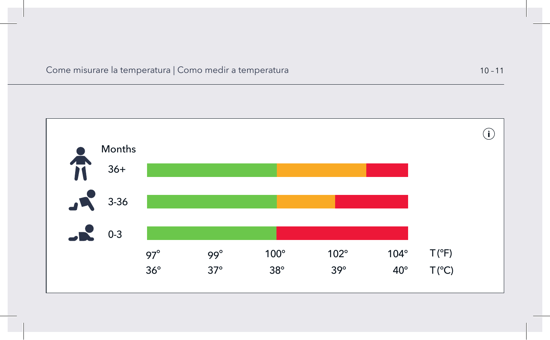Come misurare la temperatura | Como medir a temperatura 10 –11

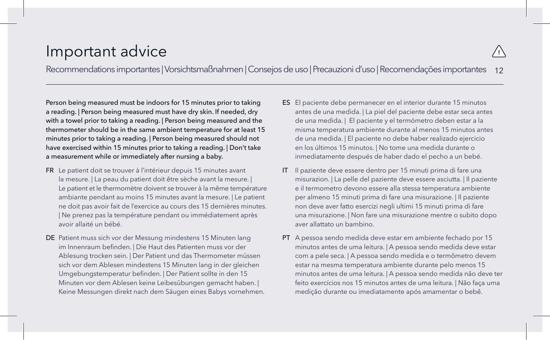## Important advice

Recommendations importantes | Vorsichtsmaßnahmen | Consejos de uso | Precauzioni d'uso | Recomendações importantes 12

Person being measured must be indoors for 15 minutes prior to taking a reading. | Person being measured must have dry skin. If needed, dry with a towel prior to taking a reading. | Person being measured and the thermometer should be in the same ambient temperature for at least 15 minutes prior to taking a reading. | Person being measured should not have exercised within 15 minutes prior to taking a reading. | Don't take a measurement while or immediately after nursing a baby.

- FR Le patient doit se trouver à l'intérieur depuis 15 minutes avant la mesure. | La peau du patient doit être sèche avant la mesure. | Le patient et le thermomètre doivent se trouver à la même température ambiante pendant au moins 15 minutes avant la mesure. | Le patient ne doit pas avoir fait de l'exercice au cours des 15 dernières minutes. | Ne prenez pas la température pendant ou immédiatement après avoir allaité un bébé.
- DE Patient muss sich vor der Messung mindestens 15 Minuten lang im Innenraum befinden. | Die Haut des Patienten muss vor der Ablesung trocken sein. | Der Patient und das Thermometer müssen sich vor dem Ablesen mindestens 15 Minuten lang in der gleichen Umgebungstemperatur befinden. | Der Patient sollte in den 15 Minuten vor dem Ablesen keine Leibesübungen gemacht haben. | Keine Messungen direkt nach dem Säugen eines Babys vornehmen.
- ES El paciente debe permanecer en el interior durante 15 minutos antes de una medida. | La piel del paciente debe estar seca antes de una medida. | El paciente y el termómetro deben estar a la misma temperatura ambiente durante al menos 15 minutos antes de una medida. | El paciente no debe haber realizado ejercicio en los últimos 15 minutos. | No tome una medida durante o inmediatamente después de haber dado el pecho a un bebé.
- IT Il paziente deve essere dentro per 15 minuti prima di fare una misurazion. | La pelle del paziente deve essere asciutta. | Il paziente e il termometro devono essere alla stessa temperatura ambiente per almeno 15 minuti prima di fare una misurazione. | Il paziente non deve aver fatto esercizi negli ultimi 15 minuti prima di fare una misurazione. | Non fare una misurazione mentre o subito dopo aver allattato un bambino.
- PT A pessoa sendo medida deve estar em ambiente fechado por 15 minutos antes de uma leitura. | A pessoa sendo medida deve estar com a pele seca. | A pessoa sendo medida e o termômetro devem estar na mesma temperatura ambiente durante pelo menos 15 minutos antes de uma leitura. | A pessoa sendo medida não deve ter feito exercícios nos 15 minutos antes de uma leitura. | Não faça uma medição durante ou imediatamente após amamentar o bebê.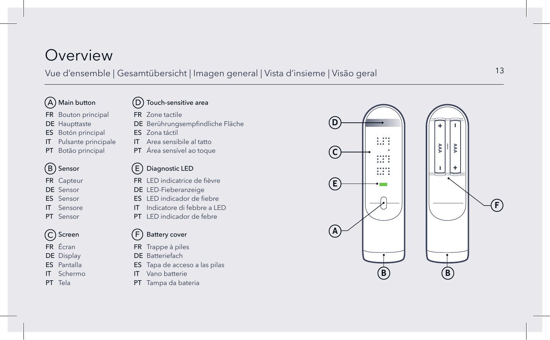## Overview

### Vue d'ensemble | Gesamtübersicht | Imagen general | Vista d'insieme | Visão geral

### A Main button

- FR Bouton principal
- DE Haupttaste
- ES Botón principal
- IT Pulsante principale
- PT Botão principal

## B Sensor

- FR Capteur
- DE Sensor
- ES Sensor
- IT Sensore
- PT Sensor



- FR Écran
- DE Display
- ES Pantalla
- IT Schermo
- PT Tela

 $(D)$ Touch-sensitive area

FR Zone tactile

- DE Berührungsempfindliche Fläche
- ES Zona táctil
- IT Area sensibile al tatto
- PT Área sensível ao toque

### E Diagnostic LED

- FR LED indicatrice de fièvre
- DE LED-Fieberanzeige
- ES LED indicador de fiebre
- IT Indicatore di febbre a LED
- PT LED indicador de febre

#### $(F)$ Battery cover

- FR Trappe à piles
- DE Batteriefach
- ES Tapa de acceso a las pilas
- IT Vano batterie
- PT Tampa da bateria

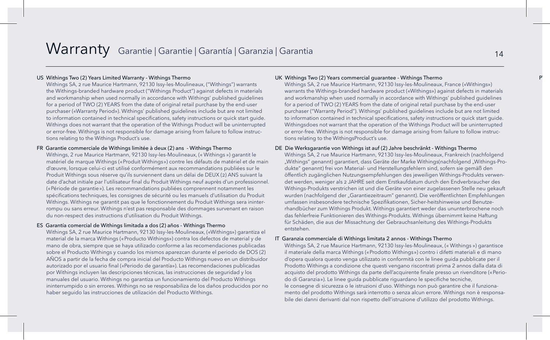### Warranty Garantie | Garantie | Garantía | Garanzia | Garantia 14

#### US Withings Two (2) Years Limited Warranty - Withings Thermo

Withings SA, 2 rue Maurice Hartmann, 92130 Issy-les-Moulineaux, ("Withings") warrants the Withings-branded hardware product ("Withings Product") against defects in materials and workmanship when used normally in accordance with Withings' published guidelines for a period of TWO (2) YEARS from the date of original retail purchase by the end-user purchaser («Warranty Period»). Withings' published guidelines include but are not limited to information contained in technical specifications, safety instructions or quick start guide. Withings does not warrant that the operation of the Withings Product will be uninterrupted or error-free. Withings is not responsible for damage arising from failure to follow instructions relating to the Withings Product's use.

#### FR Garantie commerciale de Withings limitée à deux (2) ans - Withings Thermo

Withings, 2 rue Maurice Hartmann, 92130 Issy-les-Moulineaux, (« Withings ») garantit le matériel de marque Withings («Produit Withings») contre les défauts de matériel et de main d'œuvre, lorsque celui-ci est utilisé conformément aux recommandations publiées sur le Produit Withings sous réserve qu'ils surviennent dans un délai de DEUX (2) ANS suivant la date d'achat initiale par l'utilisateur final du Produit Withings neuf auprès d'un professionnel. («Période de garantie»). Les recommandations publiées comprennent notamment les spécifications techniques, les consignes de sécurité ou les manuels d'utilisation du Produit Withings. Withings ne garantit pas que le fonctionnement du Produit Withings sera ininterrompu ou sans erreur. Withings n'est pas responsable des dommages survenant en raison du non-respect des instructions d'utilisation du Produit Withings.

#### ES Garantía comercial de Withings limitada a dos (2) años - Withings Thermo

Withings SA, 2 rue Maurice Hartmann, 92130 Issy-les-Moulineaux, («Withings») garantiza el material de la marca Withings («Producto Withings») contra los defectos de material y de mano de obra, siempre que se haya utilizado conforme a las recomendaciones publicadas sobre el Producto Withings y cuando los mismos aparezcan durante el periodo de DOS (2) AÑOS a partir de la fecha de compra inicial del Producto Withings nuevo en un distribuidor autorizado por el usuario final («Periodo de garantía»). Las recomendaciones publicadas por Withings incluyen las descripciones técnicas, las instrucciones de seguridad y los manuales del usuario. Withings no garantiza un funcionamiento del Producto Withings ininterrumpido o sin errores. Withings no se responsabiliza de los daños producidos por no haber seguido las instrucciones de utilización del Producto Withings.

#### UK Withings Two (2) Years commercial guarantee - Withings Thermo

Withings SA, 2 rue Maurice Hartmann, 92130 Issy-les-Moulineaux, France («Withings») warrants the Withings-branded hardware product («Withings») against defects in materials and workmanship when used normally in accordance with Withings' published guidelines for a period of TWO (2) YEARS from the date of original retail purchase by the end-user purchaser ("Warranty Period"). Withings' published guidelines include but are not limited to information contained in technical specifications, safety instructions or quick start guide. Withingsdoes not warrant that the operation of the Withings Product will be uninterrupted or error-free. Withings is not responsible for damage arising from failure to follow instructions relating to the WithingsProduct's use.

#### DE Die Werksgarantie von Withings ist auf (2) Jahre beschränkt - Withings Thermo

Withings SA, 2 rue Maurice Hartmann, 92130 Issy-les-Moulineaux, Frankreich (nachfolgend "Withings" genannt) garantiert, dass Geräte der Marke Withings(nachfolgend "Withings-Produkte" genannt) frei von Material- und Herstellungsfehlern sind, sofern sie gemäß den öffentlich zugänglichen Nutzungsempfehlungen des jeweiligen Withings-Produkts verwendet werden, weniger als 2 JAHRE seit dem Erstkaufdatum durch den Endverbraucher des Withings-Produkts verstrichen ist und die Geräte von einer zugelassenen Stelle neu gekauft wurden (nachfolgend der "Garantiezeitraum" genannt). Die veröffentlichten Empfehlungen umfassen insbesondere technische Spezifikationen, Sicher-heitshinweise und Benutzerhandbücher zum Withings Produkt. Withings garantiert weder das ununterbrochene noch das fehlerfreie Funktionieren des Withings-Produkts. Withings übernimmt keine Haftung für Schäden, die aus der Missachtung der Gebrauchsanleitung des Withings-Produkts entstehen.

#### IT Garanzia commerciale di Withings limitata 2 annos - Withings Thermo

Withings SA, 2 rue Maurice Hartmann, 92130 Issy-les-Moulineaux, (« Withings ») garantisce il materiale della marca Withings («Prodotto Withings») contro i difetti materiali e di mano d'opera qualora questo venga utilizzato in conformità con le linee guida pubblicate per il Prodotto Withings a condizione che questi vengano riscontrati prima 2 annos dalla data di acquisto del prodotto Withings da parte dell'acquirente finale presso un rivenditore («Periodo di Garanzia»). Le linee guida pubblicate riguardano le specifiche tecniche, le consegne di sicurezza o le istruzioni d'uso. Withings non può garantire che il funzionamento del prodotto Withings sarà interrotto o senza alcun errore. Withings non è responsabile dei danni derivanti dal non rispetto dell'istruzione d'utilizzo del prodotto Withings.

PT Garantia limitada de 2 anos Garantia e 1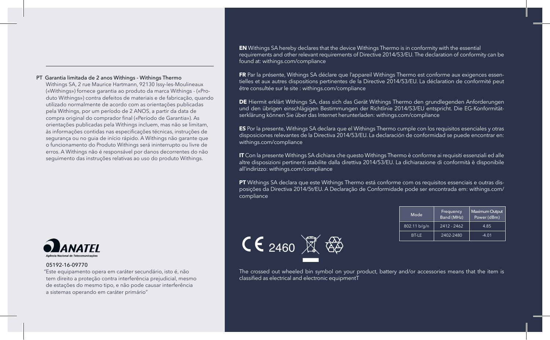#### PT Garantia limitada de 2 anos Withings - Withings Thermo

Withings SA, 2 rue Maurice Hartmann, 92130 Issy-les-Moulineaux («Withings») fornece garantia ao produto da marca Withings - («Produto Withings») contra defeitos de materiais e de fabricação, quando utilizado normalmente de acordo com as orientações publicadas pela Withings, por um período de 2 ANOS, a partir da data de compra original do comprador final («Período de Garantia»). As orientações publicadas pela Withings incluem, mas não se limitam, às informações contidas nas especificações técnicas, instruções de segurança ou no guia de início rápido. A Withings não garante que o funcionamento do Produto Withings será ininterrupto ou livre de erros. A Withings não é responsável por danos decorrentes do não seguimento das instruções relativas ao uso do produto Withings.



#### 05192-16-09770

"Este equipamento opera em caráter secundário, isto é, não tem direito a proteção contra interferência prejudicial, mesmo de estações do mesmo tipo, e não pode causar interferência a sistemas operando em caráter primário"

**EN** Withings SA hereby declares that the device Withings Thermo is in conformity with the essential requirements and other relevant requirements of Directive 2014/53/EU. The declaration of conformity can be found at: withings.com/compliance

**FR** Par la présente, Withings SA déclare que l'appareil Withings Thermo est conforme aux exigences essentielles et aux autres dispositions pertinentes de la Directive 2014/53/EU. La déclaration de conformité peut être consultée sur le site : withings.com/compliance

**DE** Hiermit erklärt Withings SA, dass sich das Gerät Withings Thermo den grundlegenden Anforderungen und den übrigen einschlägigen Bestimmungen der Richtlinie 2014/53/EU entspricht. Die EG-Konformitätserklärung können Sie über das Internet herunterladen: withings.com/compliance

**ES** Por la presente, Withings SA declara que el Withings Thermo cumple con los requisitos esenciales y otras disposiciones relevantes de la Directiva 2014/53/EU. La declaración de conformidad se puede encontrar en: withings.com/compliance

**IT** Con la presente Withings SA dichiara che questo Withings Thermo è conforme ai requisiti essenziali ed alle altre disposizioni pertinenti stabilite dalla direttiva 2014/53/EU. La dichiarazione di conformità è disponibile all'indirizzo: withings.com/compliance

**PT** Withings SA declara que este Withings Thermo está conforme com os requisitos essenciais e outras disposições da Directiva 2014/5t/EU. A Declaração de Conformidade pode ser encontrada em: withings.com/ compliance



| Mode         | Frequency<br>Band (MHz) | Maximum Output<br>Power (dBm) |
|--------------|-------------------------|-------------------------------|
| 802.11 b/a/n | $2412 - 2462$           | 4.85                          |
| <b>BT-IF</b> | 2402-2480               | $-4.01$                       |

The crossed out wheeled bin symbol on your product, battery and/or accessories means that the item is classified as electrical and electronic equipmentT